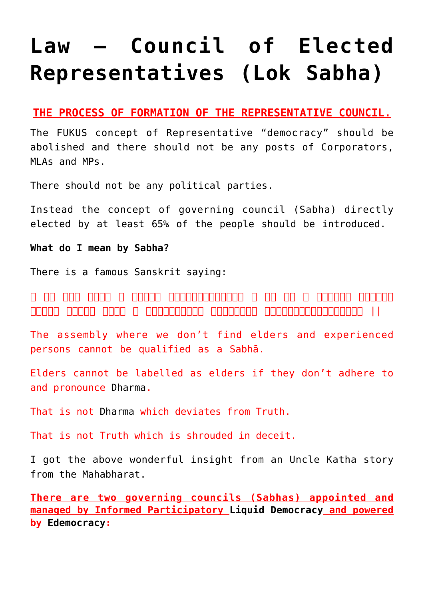# **[Law – Council of Elected](https://aryadharma.world/laws/details-of-the-law/law-administration/law-elected-representatives/) [Representatives \(Lok Sabha\)](https://aryadharma.world/laws/details-of-the-law/law-administration/law-elected-representatives/)**

## **THE PROCESS OF FORMATION OF THE REPRESENTATIVE COUNCIL.**

The [FUKUS](http://aryadharma.world/fukus/) concept of [Representative "democracy"](http://aryadharma.world/repsofpeople/) should be abolished and there should not be any posts of Corporators, MLAs and MPs.

There should not be any political parties.

Instead the concept of governing council (Sabha) directly elected by at least 65% of the people should be introduced.

**What do I mean by Sabha?**

There is a famous Sanskrit saying:

न सन् तत्र तत्रान तो समानान तत्रानानानानानानान त्र तत्र तत्र तत्रानानान वत्रानानान ।नासौ धर्मो यत्र न सत्यमस्ितन तत्सत्यं यच्छलेनानुिवद्धम् ||

The assembly where we don't find elders and experienced persons cannot be qualified as a Sabhā.

Elders cannot be labelled as elders if they don't adhere to and pronounce [Dharma](https://aryadharma.world/vedasandupanishads/dharma/).

That is not [Dharma](https://aryadharma.world/vedasandupanishads/dharma/) which deviates from Truth.

That is not Truth which is shrouded in deceit.

I got the above wonderful insight from an [Uncle Katha story](https://unclekatha.com/?p=295) from the Mahabharat.

**There are two governing councils (Sabhas) appointed and managed by Informed Participatory [Liquid](https://en.wikipedia.org/wiki/Delegative_democracy) [Democracy](https://aryadharma.world/articles/democracy/) and powered by [Edemocracy](https://aryadharma.world/laws/details-of-the-law/edemocracy/):**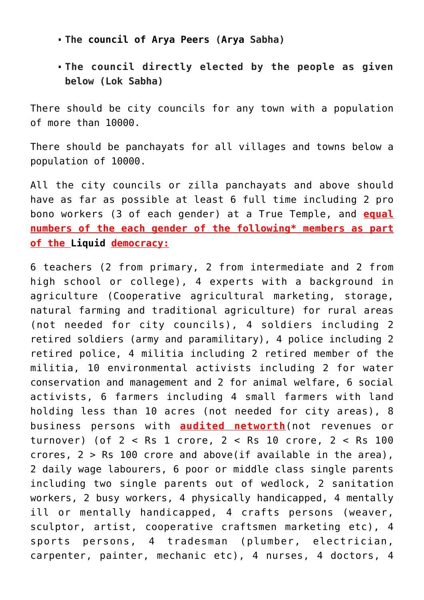- **The [council of Arya Peers](https://aryadharma.world/laws/details-of-the-law/laws_arms/law-the-council-of-arya) ([Arya](https://aryadharma.world/concepts/whoisanarya/) Sabha)**
- **The council directly elected by the people as given below (Lok Sabha)**

There should be city councils for any town with a population of more than 10000.

There should be [panchayats](https://en.wikipedia.org/wiki/Panchayati_raj) for all villages and towns below a population of 10000.

All the city councils or zilla panchayats and above should have as far as possible at least 6 full time including 2 [pro](http://en.wikipedia.org/wiki/Pro_bono) [bono](http://en.wikipedia.org/wiki/Pro_bono) workers (3 of each gender) at a [True Temple,](http://aryadharma.world/concepts/truetemples/) and **equal numbers of the each gender of the following\* members as part of the [Liquid](https://en.wikipedia.org/wiki/Delegative_democracy) democracy:**

6 teachers (2 from primary, 2 from intermediate and 2 from high school or college), 4 experts with a background in agriculture (Cooperative agricultural marketing, storage, natural farming and traditional agriculture) for rural areas (not needed for city councils), 4 soldiers including 2 retired soldiers (army and paramilitary), 4 police including 2 retired police, 4 militia including 2 retired member of the militia, 10 environmental activists including 2 for water conservation and management and 2 for animal welfare, 6 social activists, 6 farmers including 4 small farmers with land holding less than 10 acres (not needed for city areas), 8 business persons with **audited networth**(not revenues or turnover) (of 2 < Rs 1 crore, 2 < Rs 10 crore, 2 < Rs 100 crores, 2 > Rs 100 crore and above(if available in the area), 2 daily wage labourers, 6 poor or middle class single parents including two single parents out of wedlock, 2 sanitation workers, 2 [busy](https://en.wikipedia.org/wiki/Prostitution) workers, 4 physically handicapped, 4 mentally ill or mentally handicapped, 4 crafts persons (weaver, sculptor, artist, cooperative craftsmen marketing etc), 4 sports persons, 4 tradesman (plumber, electrician, carpenter, painter, mechanic etc), 4 nurses, 4 doctors, 4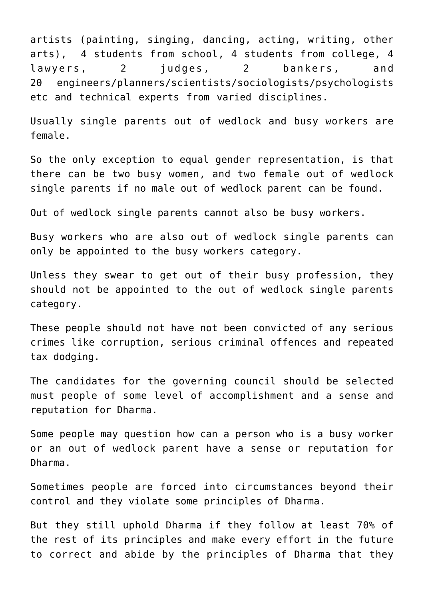artists (painting, singing, dancing, acting, writing, other arts), 4 students from school, 4 students from college, 4 lawyers, 2 judges, 2 bankers, and 20 engineers/planners/scientists/sociologists/psychologists etc and technical experts from varied disciplines.

Usually single parents out of wedlock and [busy](https://en.wikipedia.org/wiki/Prostitution) workers are female.

So the only exception to equal gender representation, is that there can be two [busy](https://en.wikipedia.org/wiki/Prostitution) women, and two female out of wedlock single parents if no male out of wedlock parent can be found.

Out of wedlock single parents cannot also be [busy](https://en.wikipedia.org/wiki/Prostitution) workers.

[Busy](https://en.wikipedia.org/wiki/Prostitution) workers who are also out of wedlock single parents can only be appointed to the busy workers category.

Unless they swear to get out of their [busy](https://en.wikipedia.org/wiki/Prostitution) profession, they should not be appointed to the out of wedlock single parents category.

These people should not have not been convicted of any serious crimes like corruption, serious criminal offences and repeated tax dodging.

The candidates for the governing council should be selected must people of some level of accomplishment and a sense and reputation for [Dharma](http://aryadharma.world/dharma/).

Some people may question how can a person who is a [busy](https://en.wikipedia.org/wiki/Prostitution) worker or an out of wedlock parent have a sense or reputation for [Dharma](http://aryadharma.world/dharma/).

Sometimes people are forced into circumstances beyond their control and they violate some principles of [Dharma.](http://aryadharma.world/dharma/)

But they still uphold [Dharma](http://aryadharma.world/dharma/) if they follow at least 70% of the rest of its principles and make every effort in the future to correct and abide by the principles of [Dharma](http://aryadharma.world/dharma/) that they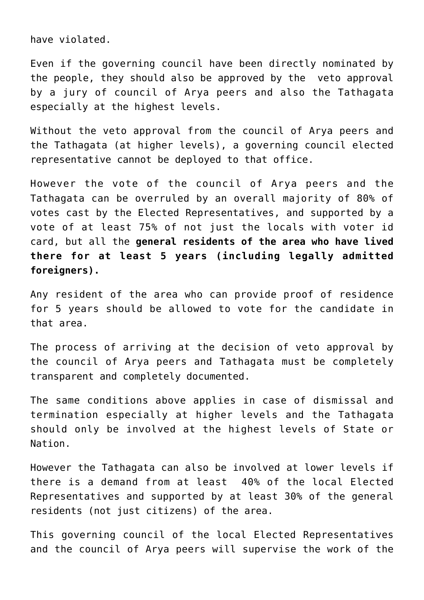have violated.

Even if the governing council have been directly nominated by the people, they should also be approved by the veto approval by a jury of [council of Arya peers](https://aryadharma.world/laws/details-of-the-law/law-the-council-of-arya/) and also the [Tathagata](http://aryadharma.world/tathagata/) especially at the highest levels.

Without the veto approval from the [council of Arya peers](https://aryadharma.world/laws/details-of-the-law/law-the-council-of-arya/) and the [Tathagata](http://aryadharma.world/tathagata/) (at higher levels), a governing council elected representative cannot be deployed to that office.

However the vote of the [council of Arya peers](https://aryadharma.world/laws/details-of-the-law/law-the-council-of-arya/) and the [Tathagata](http://aryadharma.world/tathagata/) can be overruled by an overall majority of 80% of votes cast by the [Elected Representatives](http://aryadharma.world/laws/details-of-the-law/law-elected-representatives/), and supported by a vote of at least 75% of not just the locals with voter id card, but all the **general residents of the area who have lived there for at least 5 years (including legally admitted foreigners).**

Any resident of the area who can provide proof of residence for 5 years should be allowed to vote for the candidate in that area.

The process of arriving at the decision of veto approval by the [council of Arya peers](https://aryadharma.world/laws/details-of-the-law/law-the-council-of-arya/) and [Tathagata](http://aryadharma.world/tathagata/) must be completely transparent and completely documented.

The same conditions above applies in case of dismissal and termination especially at higher levels and the [Tathagata](http://aryadharma.world/tathagata/) should only be involved at the highest levels of State or Nation.

However the [Tathagata](http://aryadharma.world/tathagata/) can also be involved at lower levels if there is a demand from at least 40% of the local [Elected](http://aryadharma.world/laws/details-of-the-law/law-elected-representatives/) [Representatives](http://aryadharma.world/laws/details-of-the-law/law-elected-representatives/) and supported by at least 30% of the general residents (not just citizens) of the area.

This governing council of the local [Elected Representatives](http://aryadharma.world/laws/details-of-the-law/law-elected-representatives/) and the [council of Arya peers](https://aryadharma.world/laws/details-of-the-law/law-the-council-of-arya/) will supervise the work of the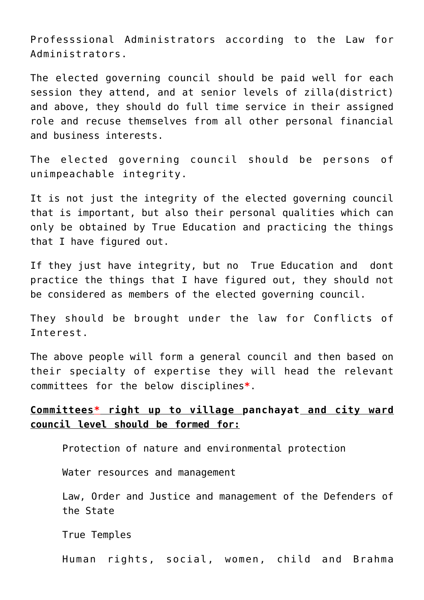[Professsional Administrators](https://aryadharma.world/concepts/thestate/administrators/professional-administrators/) according to the [Law for](https://aryadharma.world/laws/details-of-the-law/law-administration/law-administrators/) [Administrators](https://aryadharma.world/laws/details-of-the-law/law-administration/law-administrators/).

The elected governing council should be paid well for each session they attend, and at senior levels of zilla(district) and above, they should do full time service in their assigned role and recuse themselves from all other personal financial and business interests.

The elected governing council should be persons of unimpeachable integrity.

It is not just the integrity of the elected governing council that is important, but also their personal qualities which can only be obtained by [True Education](http://aryadharma.world/education/) and practicing the things [that I have figured out.](http://aryadharma.world/figured_out/)

If they just have integrity, but no [True Education](http://aryadharma.world/education/) and dont practice the things [that I have figured out](http://aryadharma.world/figured_out/), they should not be considered as members of the elected governing council.

They should be brought under the law for [Conflicts of](http://aryadharma.world/laws/details-of-the-law/law-conflicts-of-interest/) [Interest.](http://aryadharma.world/laws/details-of-the-law/law-conflicts-of-interest/)

The above people will form a general council and then based on their specialty of expertise they will head the relevant committees for the below disciplines**\***.

## **Committees\* right up to village [panchayat](https://en.wikipedia.org/wiki/Panchayati_raj) and city ward council level should be formed for:**

Protection of nature and environmental protection

Water resources and management

Law, Order and Justice and management of the [Defenders of](http://aryadharma.world/defendersofthestate/) [the State](http://aryadharma.world/defendersofthestate/)

[True Temples](http://aryadharma.world/truetemples/)

Human rights, social, women, child and [Brahma](http://aryadharma.world/brahmadana/)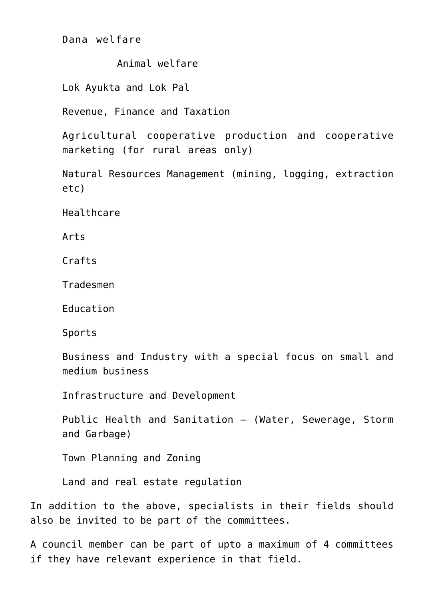[Dana](http://aryadharma.world/brahmadana/) welfare

Animal welfare

[Lok Ayukta](https://en.wikipedia.org/wiki/Lokayukta) and [Lok Pal](https://en.wikipedia.org/wiki/Lokpal)

Revenue, Finance and Taxation

Agricultural cooperative production and cooperative marketing (for rural areas only)

Natural Resources Management (mining, logging, extraction etc)

Healthcare

Arts

Crafts

Tradesmen

Education

Sports

Business and Industry with a special focus on small and medium business

Infrastructure and Development

Public Health and Sanitation – (Water, Sewerage, Storm and Garbage)

Town Planning and Zoning

Land and real estate regulation

In addition to the above, specialists in their fields should also be invited to be part of the committees.

A council member can be part of upto a maximum of 4 committees if they have relevant experience in that field.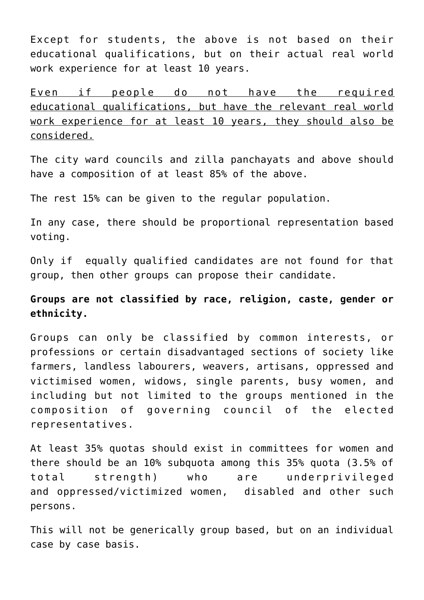Except for students, the above is not based on their educational qualifications, but on their actual real world work experience for at least 10 years.

Even if people do not have the required educational qualifications, but have the relevant real world work experience for at least 10 years, they should also be considered.

The city ward councils and [zilla](https://en.wikipedia.org/wiki/List_of_districts_in_India) panchayats and above should have a composition of at least 85% of the above.

The rest 15% can be given to the regular population.

In any case, there should be [proportional representation based](http://en.wikipedia.org/wiki/Proportional_representation) [voting](http://en.wikipedia.org/wiki/Proportional_representation).

Only if equally qualified candidates are not found for that group, then other groups can propose their candidate.

# **Groups are not classified by race, religion, caste, gender or ethnicity.**

Groups can only be classified by common interests, or professions or certain disadvantaged sections of society like farmers, landless labourers, weavers, artisans, oppressed and victimised women, widows, single parents, busy women, and including but not limited to the groups mentioned in the composition of [governing council](https://aryadharma.world/laws/details-of-the-law/law-elected-representatives/) of the elected representatives.

At least 35% quotas should exist in committees for women and there should be an 10% subquota among this 35% quota (3.5% of total strength) who are underprivileged and oppressed/victimized women, disabled and other such persons.

This will not be generically group based, but on an individual case by case basis.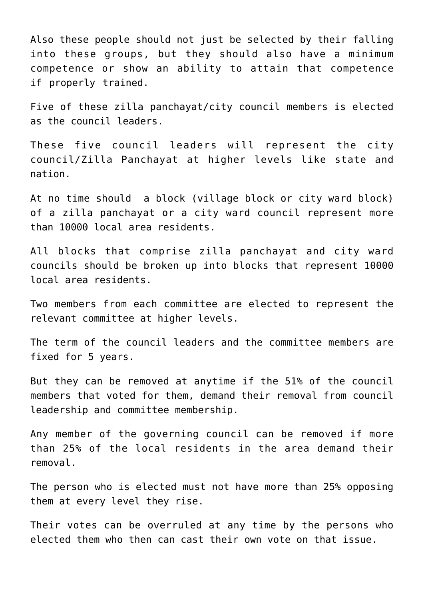Also these people should not just be selected by their falling into these groups, but they should also have a minimum competence or show an ability to attain that competence if properly trained.

Five of these zilla panchayat/city council members is elected as the council leaders.

These five council leaders will represent the city council/[Zilla](https://en.wikipedia.org/wiki/List_of_districts_in_India) Panchayat at higher levels like state and nation.

At no time should a block (village block or city ward block) of a zilla panchayat or a city ward council represent more than 10000 local area residents.

All blocks that comprise zilla panchayat and city ward councils should be broken up into blocks that represent 10000 local area residents.

Two members from each committee are elected to represent the relevant committee at higher levels.

The term of the council leaders and the committee members are fixed for 5 years.

But they can be removed at anytime if the 51% of the council members that voted for them, demand their removal from council leadership and committee membership.

Any member of the governing council can be removed if more than 25% of the local residents in the area demand their removal.

The person who is elected must not have more than 25% opposing them at every level they rise.

Their votes can be overruled at any time by the persons who elected them who then can cast their own vote on that issue.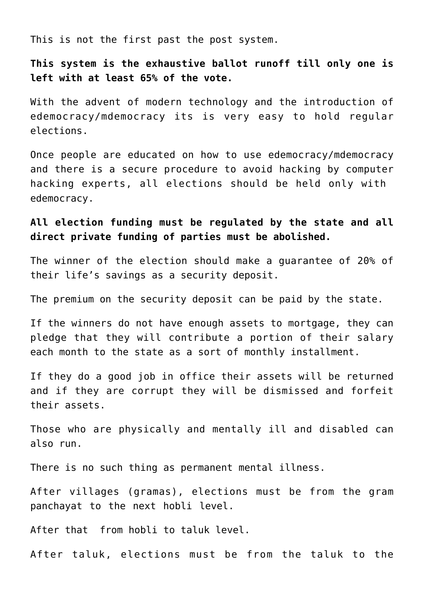This is not the [first past the post](http://en.wikipedia.org/wiki/First-past-the-post_voting) system.

**This system is the [exhaustive ballot runoff](http://en.wikipedia.org/wiki/Exhaustive_ballot) till only one is left with at least 65% of the vote.**

With the advent of modern technology and the introduction of [edemocracy/mdemocracy](http://aryadharma.world/edemocracy/) its is very easy to hold regular elections.

Once people are educated on how to use [edemocracy/mdemocracy](http://aryadharma.world/edemocracy/) and there is a secure procedure to avoid hacking by computer hacking experts, all elections should be held only with [edemocracy.](http://aryadharma.world/edemocracy/)

# **All election funding [must be regulated by the state](http://aryadharma.world/laws_statefundingelections-2/) and all direct private funding of parties must be abolished.**

The winner of the election should make a guarantee of 20% of their life's savings as a security deposit.

The premium on the security deposit can be paid by the state.

If the winners do not have enough assets to mortgage, they can pledge that they will contribute a portion of their salary each month to the state as a sort of monthly installment.

If they do a good job in office their assets will be returned and if they are corrupt they will be dismissed and forfeit their assets.

Those who are physically and mentally ill and disabled can also run.

There is no such thing as permanent mental illness.

After villages (gramas), elections must be from the [gram](https://en.wikipedia.org/wiki/Gram_panchayat) [panchayat](https://en.wikipedia.org/wiki/Gram_panchayat) to the next [hobli](https://en.wikipedia.org/wiki/Hobli) level.

After that from [hobli](https://en.wikipedia.org/wiki/Hobli) to [taluk](https://en.wikipedia.org/wiki/Tehsil) level.

After taluk, elections must be from the taluk to the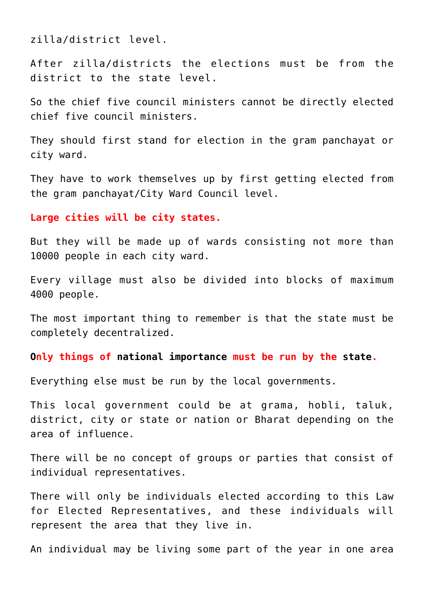[zilla/district](https://en.wikipedia.org/wiki/Zillah_(country_subdivision)) level.

After zilla/districts the elections must be from the district to the state level.

So the chief five council ministers cannot be directly elected chief five council ministers.

They should first stand for election in the [gram panchayat](https://en.wikipedia.org/wiki/Gram_panchayat) or city ward.

They have to work themselves up by first getting elected from the [gram panchayat/](https://en.wikipedia.org/wiki/Gram_panchayat)City Ward Council level.

#### **Large cities will be city states.**

But they will be made up of wards consisting not more than 10000 people in each city ward.

Every village must also be divided into blocks of maximum 4000 people.

The most important thing to remember is that the state must be completely decentralized.

#### **Only things of [national importance](http://aryadharma.world/thestate/) must be run by the [state](https://aryadharma.world/concepts/thestate/).**

Everything else must be run by the local governments.

This local government could be at grama, hobli, taluk, district, city or state or nation or [Bharat](http://aryadharma.world/bharat/) depending on the area of influence.

There will be no concept of groups or parties that consist of individual representatives.

There will only be individuals elected according to this Law for Elected Representatives, and these individuals will represent the area that they live in.

An individual may be living some part of the year in one area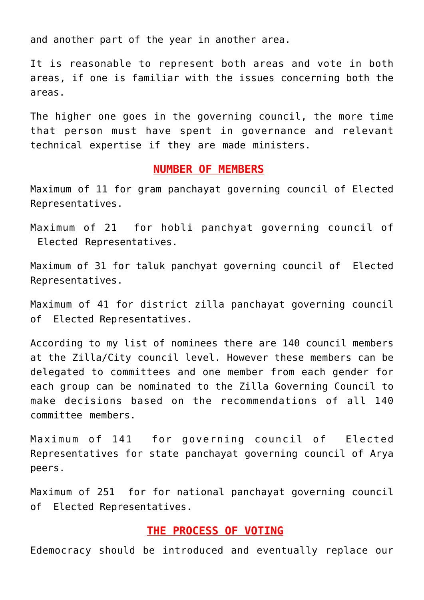and another part of the year in another area.

It is reasonable to represent both areas and vote in both areas, if one is familiar with the issues concerning both the areas.

The higher one goes in the governing council, the more time that person must have spent in governance and relevant technical expertise if they are made ministers.

#### **NUMBER OF MEMBERS**

Maximum of 11 for gram panchayat governing council of Elected Representatives.

Maximum of 21 for hobli panchyat governing council of Elected Representatives.

Maximum of 31 for taluk panchyat governing council of Elected Representatives.

Maximum of 41 for district zilla panchayat governing council of Elected Representatives.

According to my list of nominees there are 140 council members at the Zilla/City council level. However these members can be delegated to committees and one member from each gender for each group can be nominated to the Zilla Governing Council to make decisions based on the recommendations of all 140 committee members.

Maximum of 141 for governing council of Elected Representatives for state panchayat governing council of Arya peers.

Maximum of 251 for for national panchayat governing council of Elected Representatives.

## **THE PROCESS OF VOTING**

[Edemocracy](http://aryadharma.world/edemocracy/) should be introduced and eventually replace our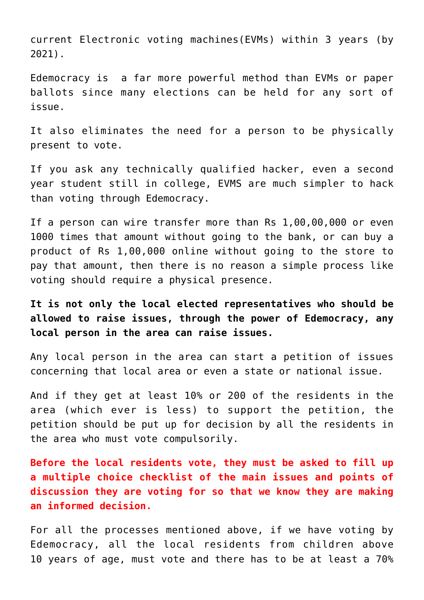current [Electronic voting machines\(EVMs\)](https://en.wikipedia.org/wiki/Electronic_voting_in_India) within 3 years (by 2021).

[Edemocracy](http://aryadharma.world/edemocracy/) is a far more powerful method than EVMs or paper ballots since many elections can be held for any sort of issue.

It also eliminates the need for a person to be physically present to vote.

If you ask any technically qualified hacker, even a second year student still in college, EVMS are much simpler to hack than voting through [Edemocracy](http://aryadharma.world/edemocracy/).

If a person can wire transfer more than Rs 1,00,00,000 or even 1000 times that amount without going to the bank, or can buy a product of Rs 1,00,000 online without going to the store to pay that amount, then there is no reason a simple process like voting should require a physical presence.

**It is not only the local elected representatives who should be allowed to raise issues, through the power of [Edemocracy,](http://aryadharma.world/edemocracy/) any local person in the area can raise issues.**

Any [local person](http://aryadharma.world/laws_immigration/) in the area can start a petition of issues concerning that local area or even a state or national issue.

And if they get at least 10% or 200 of the residents in the area (which ever is less) to support the petition, the petition should be put up for decision by all the residents in the area who must vote compulsorily.

**Before the local residents vote, they must be asked to fill up a multiple choice checklist of the main issues and points of discussion they are voting for so that we know they are making an informed decision.**

For all the processes mentioned above, if we have voting by [Edemocracy,](http://aryadharma.world/edemocracy/) all the [local residents](http://aryadharma.world/laws_immigration/) from children above 10 years of age, must vote and there has to be at least a 70%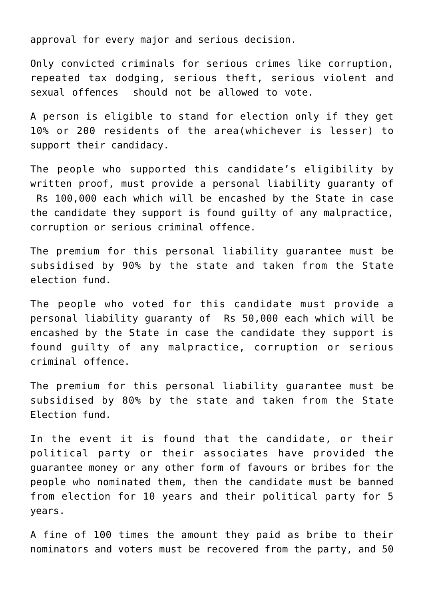approval for every major and serious decision.

Only convicted criminals for serious crimes like corruption, repeated tax dodging, serious theft, serious violent and sexual offences should not be allowed to vote.

A person is eligible to stand for election only if they get 10% or 200 residents of the area(whichever is lesser) to support their candidacy.

The people who supported this candidate's eligibility by written proof, must provide a personal liability guaranty of Rs 100,000 each which will be encashed by the [State](http://aryadharma.world/thestate/) in case the candidate they support is found guilty of any malpractice, corruption or serious criminal offence.

The premium for this personal liability guarantee must be subsidised by 90% by the state and taken from the [State](https://aryadharma.world/laws/details-of-the-law/laws_statefundingelections-2/) [election fund](https://aryadharma.world/laws/details-of-the-law/laws_statefundingelections-2/).

The people who voted for this candidate must provide a personal liability guaranty of Rs 50,000 each which will be encashed by the [State](http://aryadharma.world/thestate/) in case the candidate they support is found guilty of any malpractice, corruption or serious criminal offence.

The premium for this personal liability guarantee must be subsidised by 80% by the state and taken from the [State](https://aryadharma.world/laws/details-of-the-law/laws_statefundingelections-2/) [Election fund](https://aryadharma.world/laws/details-of-the-law/laws_statefundingelections-2/).

In the event it is found that the candidate, or their political party or their associates have provided the guarantee money or any other form of favours or bribes for the people who nominated them, then the candidate must be banned from election for 10 years and their political party for 5 years.

A fine of 100 times the amount they paid as bribe to their nominators and voters must be recovered from the party, and 50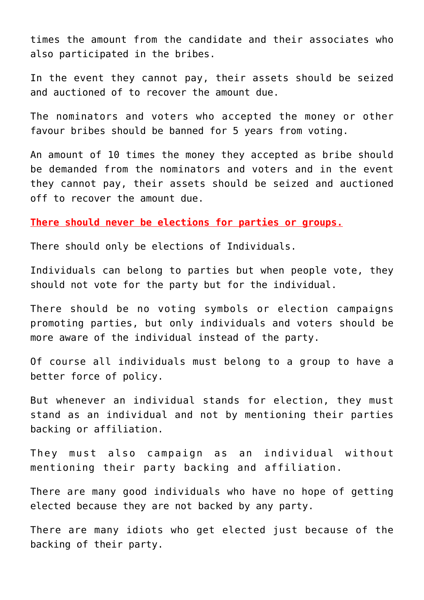times the amount from the candidate and their associates who also participated in the bribes.

In the event they cannot pay, their assets should be seized and auctioned of to recover the amount due.

The nominators and voters who accepted the money or other favour bribes should be banned for 5 years from voting.

An amount of 10 times the money they accepted as bribe should be demanded from the nominators and voters and in the event they cannot pay, their assets should be seized and auctioned off to recover the amount due.

**There should never be elections for parties or groups.**

There should only be elections of Individuals.

Individuals can belong to parties but when people vote, they should not vote for the party but for the individual.

There should be no voting symbols or election campaigns promoting parties, but only individuals and voters should be more aware of the individual instead of the party.

Of course all individuals must belong to a group to have a better force of policy.

But whenever an individual stands for election, they must stand as an individual and not by mentioning their parties backing or affiliation.

They must also campaign as an individual without mentioning their party backing and affiliation.

There are many good individuals who have no hope of getting elected because they are not backed by any party.

There are many idiots who get elected just because of the backing of their party.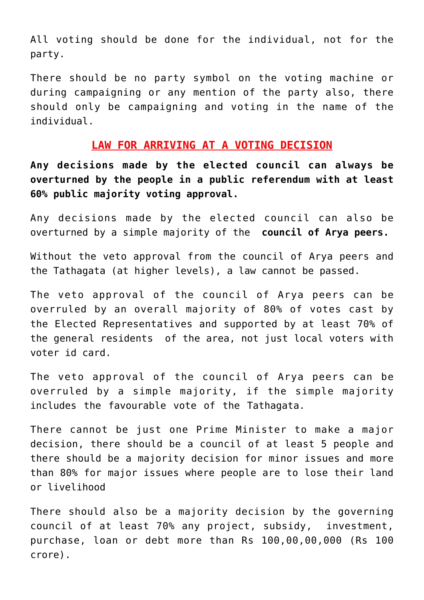All voting should be done for the individual, not for the party.

There should be no party symbol on the voting machine or during campaigning or any mention of the party also, there should only be campaigning and voting in the name of the individual.

## **LAW FOR ARRIVING AT A VOTING DECISION**

**Any decisions made by the elected council can always be overturned by the people in a public referendum with at least 60% public majority voting approval.**

Any decisions made by the elected council can also be overturned by a simple majority of the **[council of Arya peers](https://aryadharma.world/laws/details-of-the-law/laws_arms/law-the-council-of-arya).**

Without the veto approval from the [council of Arya peers](https://aryadharma.world/laws/details-of-the-law/laws_arms/law-the-council-of-arya) and the [Tathagata](https://aryadharma.world/tathagata/) (at higher levels), a law cannot be passed.

The veto approval of the [council of Arya peers](https://aryadharma.world/laws/details-of-the-law/laws_arms/law-the-council-of-arya) can be overruled by an overall majority of 80% of votes cast by the [Elected Representatives](https://aryadharma.world/laws/details-of-the-law/law-elected-representatives/) and supported by at least 70% of the general residents of the area, not just local voters with voter id card.

The veto approval of the [council of Arya peers](https://aryadharma.world/laws/details-of-the-law/laws_arms/law-the-council-of-arya) can be overruled by a simple majority, if the simple majority includes the favourable vote of the [Tathagata](https://aryadharma.world/concepts/tathagata/).

There cannot be just one Prime Minister to make a major decision, there should be a council of at least 5 people and there should be a majority decision for minor issues and more than 80% for major issues where people are to lose their land or livelihood

There should also be a majority decision by the governing council of at least 70% any project, subsidy, investment, purchase, loan or debt more than Rs 100,00,00,000 (Rs 100 crore).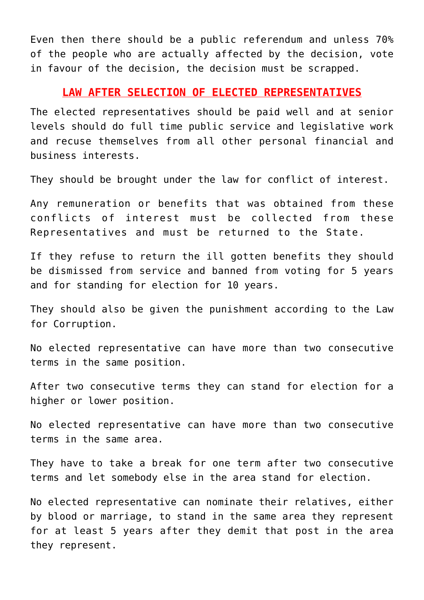Even then there should be a public referendum and unless 70% of the people who are actually affected by the decision, vote in favour of the decision, the decision must be scrapped.

#### **LAW AFTER SELECTION OF ELECTED REPRESENTATIVES**

The elected representatives should be paid well and at senior levels should do full time public service and legislative work and recuse themselves from all other personal financial and business interests.

They should be brought under the law for [conflict of interest](https://aryadharma.world/laws/details-of-the-law/law-conflicts-of-interest/).

Any remuneration or benefits that was obtained from these conflicts of interest must be collected from these Representatives and must be returned to the State.

If they refuse to return the ill gotten benefits they should be dismissed from service and banned from voting for 5 years and for standing for election for 10 years.

They should also be given the punishment according to the [Law](http://aryadharma.world/laws/details-of-the-law/laws_corruption-2/) [for Corruption.](http://aryadharma.world/laws/details-of-the-law/laws_corruption-2/)

No elected representative can have more than two consecutive terms in the same position.

After two consecutive terms they can stand for election for a higher or lower position.

No elected representative can have more than two consecutive terms in the same area.

They have to take a break for one term after two consecutive terms and let somebody else in the area stand for election.

No elected representative can nominate their relatives, either by blood or marriage, to stand in the same area they represent for at least 5 years after they demit that post in the area they represent.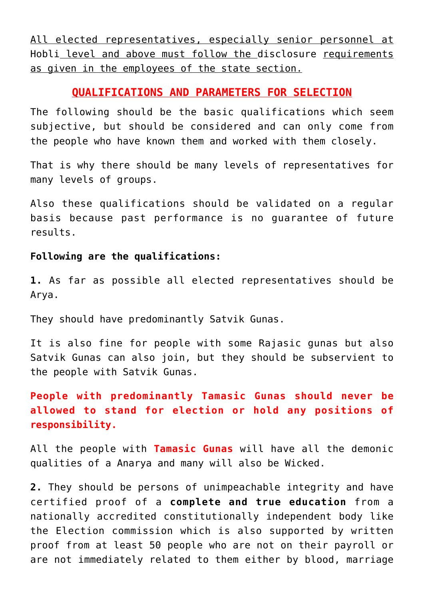All elected representatives, especially senior personnel at [Hobli](https://en.wikipedia.org/wiki/Hobli) level and above must follow the [disclosure requirements](http://aryadharma.world/employeesofthestate/) as given in the employees of the state section.

## **QUALIFICATIONS AND PARAMETERS FOR SELECTION**

The following should be the basic qualifications which seem subjective, but should be considered and can only come from the people who have known them and worked with them closely.

That is why there should be many levels of representatives for many levels of groups.

Also these qualifications should be validated on a regular basis because past performance is no guarantee of future results.

#### **Following are the qualifications:**

**1.** As far as possible all elected representatives should be [Arya.](http://aryadharma.world/whoisanarya/)

They should have predominantly [Satvik Gunas.](http://en.wikipedia.org/wiki/Gu%E1%B9%87a)

It is also fine for people with some [Rajasic gunas](http://en.wikipedia.org/wiki/Gu%E1%B9%87a) but also Satvik Gunas can also join, but they should be subservient to the people with [Satvik Gunas](http://en.wikipedia.org/wiki/Gu%E1%B9%87a).

**People with predominantly [Tamasic Gunas](http://en.wikipedia.org/wiki/Gu%E1%B9%87a) should never be allowed to stand for election or hold any positions of responsibility.** 

All the people with **[Tamasic Gunas](http://en.wikipedia.org/wiki/Gu%E1%B9%87a)** will have all the demonic qualities of a [Anarya](http://aryadharma.world/whoisafool/) and many will also be [Wicked.](https://aryadharma.world/concepts/wicked/)

**2.** They should be persons of unimpeachable integrity and have certified proof of a **[complete and true education](http://aryadharma.world/education/)** from a nationally accredited constitutionally independent body like the Election commission which is also supported by written proof from at least 50 people who are not on their payroll or are not immediately related to them either by blood, marriage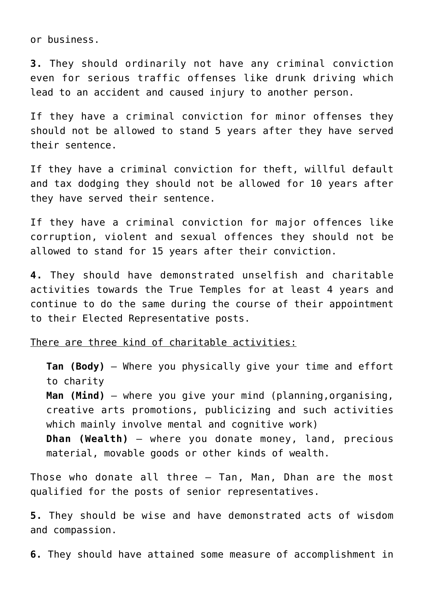or business.

**3.** They should ordinarily not have any criminal conviction even for serious traffic offenses like drunk driving which lead to an accident and caused injury to another person.

If they have a criminal conviction for minor offenses they should not be allowed to stand 5 years after they have served their sentence.

If they have a criminal conviction for [theft,](https://aryadharma.world/laws_theft/) willful default and [tax dodging](https://aryadharma.world/laws_blackmoney/) they should not be allowed for 10 years after they have served their sentence.

If they have a criminal conviction for major offences like [corruption,](https://aryadharma.world/laws_corruption-2/) [violent and sexual offences](https://aryadharma.world/laws_violenceandsexoffenses/) they should not be allowed to stand for 15 years after their conviction.

**4.** They should have demonstrated unselfish and charitable activities towards the [True Temples](https://aryadharma.world/truetemples/) for at least 4 years and continue to do the same during the course of their appointment to their Elected Representative posts.

There are three kind of charitable activities:

**Tan (Body)** – Where you physically give your time and effort to charity **Man (Mind)** – where you give your mind (planning,organising, creative arts promotions, publicizing and such activities which mainly involve mental and cognitive work) **Dhan (Wealth)** – where you donate money, land, precious material, movable goods or other kinds of wealth.

Those who donate all three – Tan, Man, Dhan are the most qualified for the posts of senior representatives.

**5.** They should be wise and have demonstrated acts of wisdom and compassion.

**6.** They should have attained some measure of accomplishment in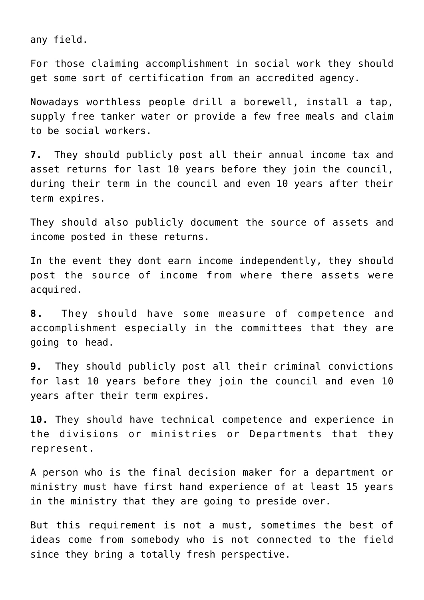any field.

For those claiming accomplishment in social work they should get some sort of certification from an accredited agency.

Nowadays worthless people drill a borewell, install a tap, supply free tanker water or provide a few free meals and claim to be social workers.

**7.** They should publicly post all their annual income tax and asset returns for last 10 years before they join the council, during their term in the council and even 10 years after their term expires.

They should also publicly document the source of assets and income posted in these returns.

In the event they dont earn income independently, they should post the source of income from where there assets were acquired.

**8.** They should have some measure of competence and accomplishment especially in the committees that they are going to head.

**9.** They should publicly post all their criminal convictions for last 10 years before they join the council and even 10 years after their term expires.

**10.** They should have technical competence and experience in the divisions or ministries or Departments that they represent.

A person who is the final decision maker for a department or ministry must have first hand experience of at least 15 years in the ministry that they are going to preside over.

But this requirement is not a must, sometimes the best of ideas come from somebody who is not connected to the field since they bring a totally fresh perspective.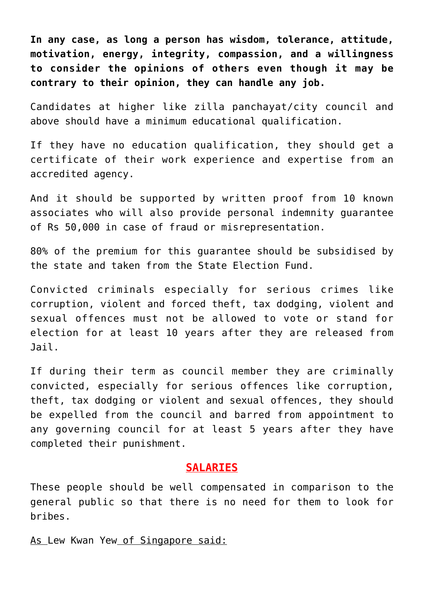**In any case, as long a person has wisdom, tolerance, attitude, motivation, energy, integrity, compassion, and a willingness to consider the opinions of others even though it may be contrary to their opinion, they can handle any job.**

Candidates at higher like zilla panchayat/city council and above should have a minimum educational qualification.

If they have no education qualification, they should get a certificate of their work experience and expertise from an accredited agency.

And it should be supported by written proof from 10 known associates who will also provide personal indemnity guarantee of Rs 50,000 in case of fraud or misrepresentation.

80% of the premium for this guarantee should be subsidised by the state and taken from the [State Election Fund.](https://aryadharma.world/laws/details-of-the-law/laws_statefundingelections-2/)

Convicted criminals especially for serious crimes like corruption, violent and forced theft, tax dodging, violent and sexual offences must not be allowed to vote or stand for election for at least 10 years after they are released from Jail.

If during their term as council member they are criminally convicted, especially for serious offences like corruption, theft, tax dodging or violent and sexual offences, they should be expelled from the council and barred from appointment to any governing council for at least 5 years after they have completed their punishment.

#### **SALARIES**

These people should be well compensated in comparison to the general public so that there is no need for them to look for bribes.

As [Lew Kwan Yew](http://en.wikipedia.org/wiki/Lee_Kuan_Yew) of Singapore said: